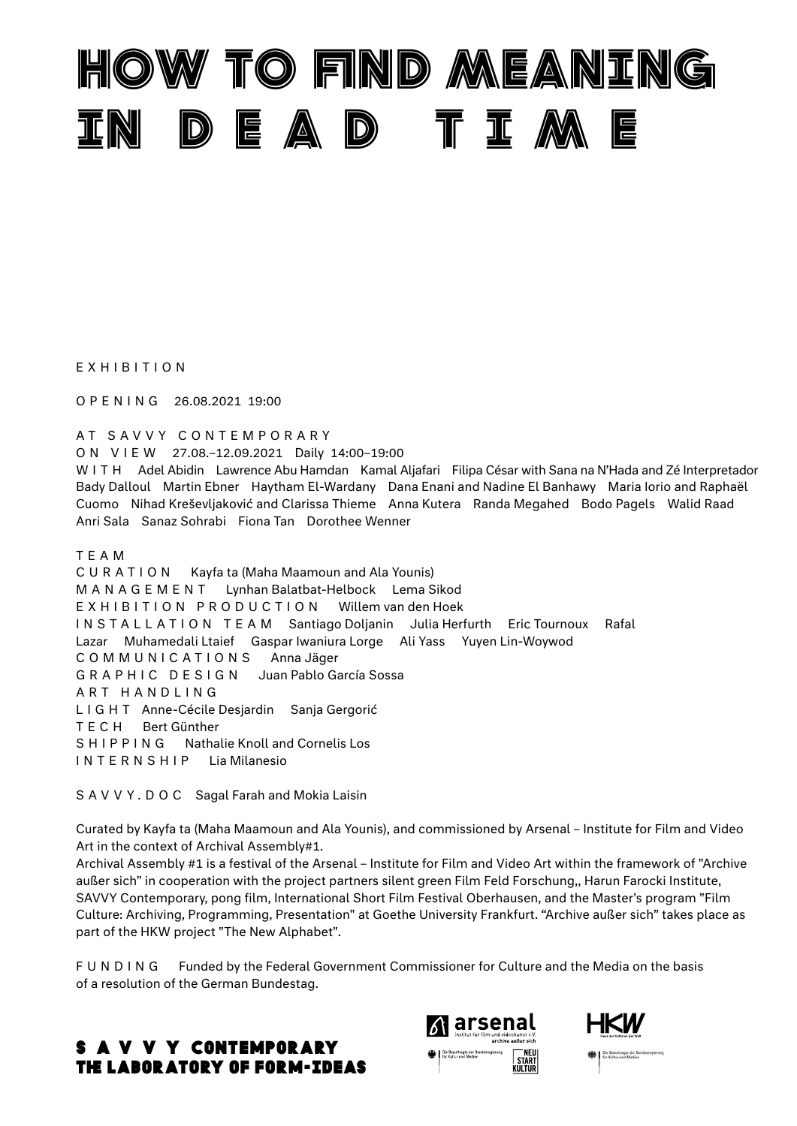

EXHIBITION

OPENING 26.08.2021 19:00

AT SAVVY CONTEMPORARY

ON VIEW 27.08.–12.09.2021 Daily 14:00–19:00

WITH Adel Abidin Lawrence Abu Hamdan Kamal Aljafari Filipa César with Sana na N'Hada and Zé Interpretador Bady Dalloul Martin Ebner Haytham El-Wardany Dana Enani and Nadine El Banhawy Maria Iorio and Raphaël Cuomo Nihad Kreševljaković and Clarissa Thieme Anna Kutera Randa Megahed Bodo Pagels Walid Raad Anri Sala Sanaz Sohrabi Fiona Tan Dorothee Wenner

TEAM

CURATION Kayfa ta (Maha Maamoun and Ala Younis) MANAGEMENT Lynhan Balatbat-Helbock Lema Sikod EXHIBITION PRODUCTION Willem van den Hoek INSTALLATION TEAM Santiago Doljanin Julia Herfurth Eric Tournoux Rafal Lazar Muhamedali Ltaief Gaspar Iwaniura Lorge Ali Yass Yuyen Lin-Woywod COMMUNICATIONS Anna Jäger GRAPHIC DESIGN Juan Pablo García Sossa ART HANDLING LIGHT Anne-Cécile Desjardin Sanja Gergorić TECH Bert Günther SHIPPING Nathalie Knoll and Cornelis Los INTERNSHIP Lia Milanesio

SAVVY.DOC Sagal Farah and Mokia Laisin

Curated by Kayfa ta (Maha Maamoun and Ala Younis), and commissioned by Arsenal – Institute for Film and Video Art in the context of Archival Assembly#1.

Archival Assembly #1 is a festival of the Arsenal – Institute for Film and Video Art within the framework of "Archive außer sich" in cooperation with the project partners silent green Film Feld Forschung,, Harun Farocki Institute, SAVVY Contemporary, pong film, International Short Film Festival Oberhausen, and the Master's program "Film Culture: Archiving, Programming, Presentation" at Goethe University Frankfurt. "Archive außer sich" takes place as part of the HKW project "The New Alphabet".

FUNDING Funded by the Federal Government Commissioner for Culture and the Media on the basis of a resolution of the German Bundestag.





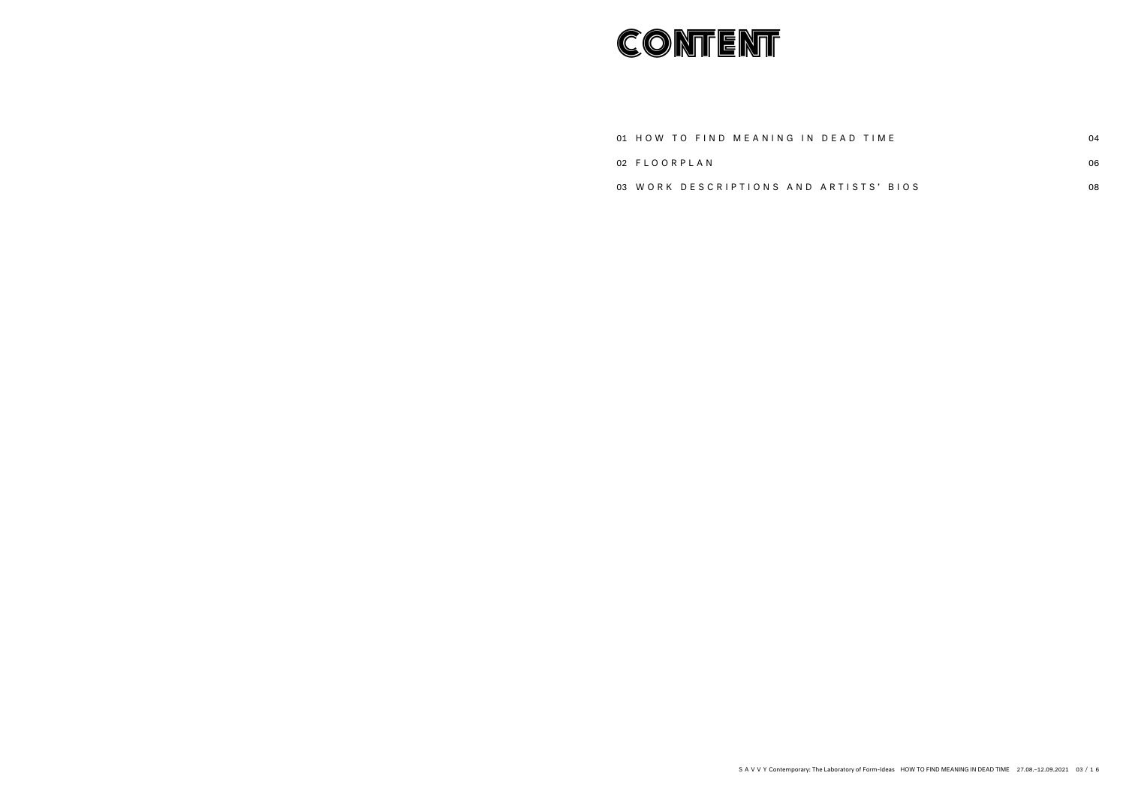# **CONTENT**

01 HOW TO FIND MEANING IN DEAD

02 FLOORPLAN

03 W ORK DESCRIPTIONS AND ARTISTS' BIOS

| ) TIME    | 04 |
|-----------|----|
|           | 06 |
| STS' BIOS | 08 |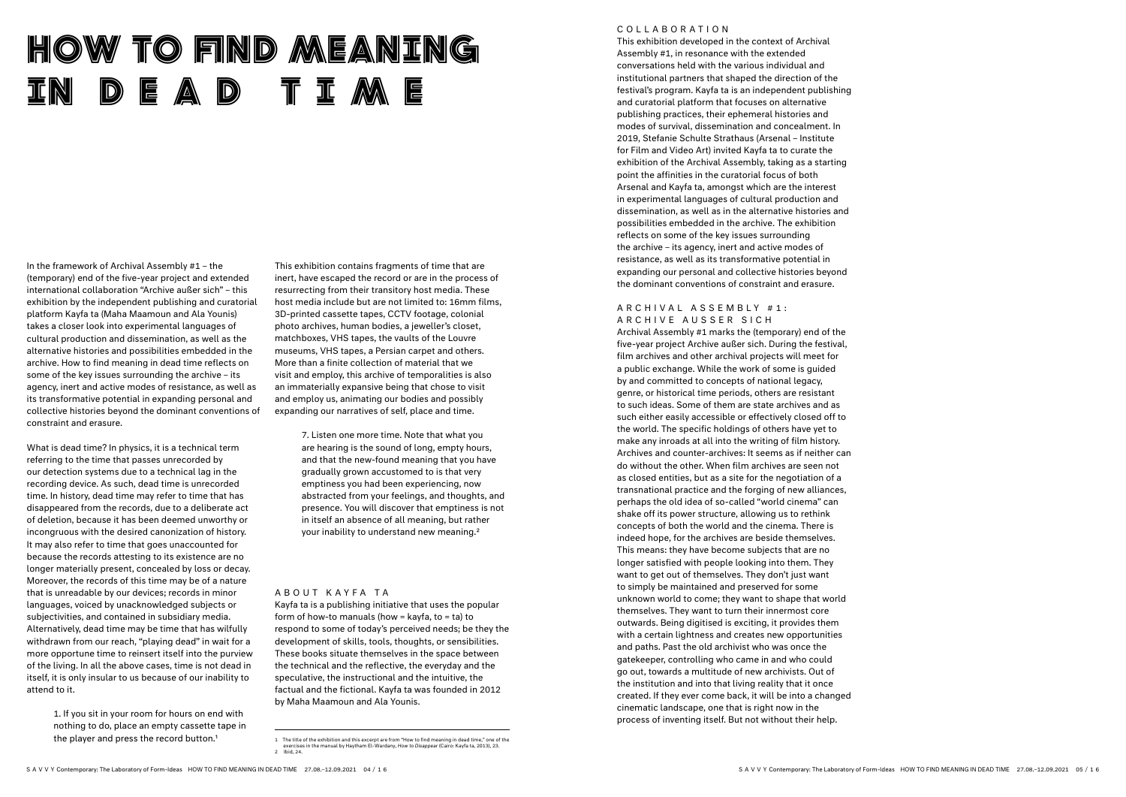In the framework of Archival Assembly #1 – the (temporary) end of the five-year project and extended international collaboration "Archive außer sich" – this exhibition by the independent publishing and curatorial platform Kayfa ta (Maha Maamoun and Ala Younis) takes a closer look into experimental languages of cultural production and dissemination, as well as the alternative histories and possibilities embedded in the archive. How to find meaning in dead time reflects on some of the key issues surrounding the archive – its agency, inert and active modes of resistance, as well as its transformative potential in expanding personal and collective histories beyond the dominant conventions of constraint and erasure.

> 1. If you sit in your room for hours on end with nothing to do, place an empty cassette tape in the player and press the record button.<sup>1</sup>

What is dead time? In physics, it is a technical term referring to the time that passes unrecorded by our detection systems due to a technical lag in the recording device. As such, dead time is unrecorded time. In history, dead time may refer to time that has disappeared from the records, due to a deliberate act of deletion, because it has been deemed unworthy or incongruous with the desired canonization of history. It may also refer to time that goes unaccounted for because the records attesting to its existence are no longer materially present, concealed by loss or decay. Moreover, the records of this time may be of a nature that is unreadable by our devices; records in minor languages, voiced by unacknowledged subjects or subjectivities, and contained in subsidiary media. Alternatively, dead time may be time that has wilfully withdrawn from our reach, "playing dead" in wait for a more opportune time to reinsert itself into the purview of the living. In all the above cases, time is not dead in itself, it is only insular to us because of our inability to attend to it.

#### A R C H I V A L A S S E M B L Y # 1 : ARCHIVE AUSSER SICH

This exhibition contains fragments of time that are inert, have escaped the record or are in the process of resurrecting from their transitory host media. These host media include but are not limited to: 16mm films, 3D-printed cassette tapes, CCTV footage, colonial photo archives, human bodies, a jeweller's closet, matchboxes, VHS tapes, the vaults of the Louvre museums, VHS tapes, a Persian carpet and others. More than a finite collection of material that we visit and employ, this archive of temporalities is also an immaterially expansive being that chose to visit and employ us, animating our bodies and possibly expanding our narratives of self, place and time.

> 7. Listen one more time. Note that what you are hearing is the sound of long, empty hours, and that the new-found meaning that you have gradually grown accustomed to is that very emptiness you had been experiencing, now abstracted from your feelings, and thoughts, and presence. You will discover that emptiness is not in itself an absence of all meaning, but rather your inability to understand new meaning.2

#### A B O U T K A Y F A T A

# HOW TO FIND MEANING DEAD TIME

Kayfa ta is a publishing initiative that uses the popular form of how-to manuals (how  $=$  kayfa, to  $=$  ta) to respond to some of today's perceived needs; be they the development of skills, tools, thoughts, or sensibilities. These books situate themselves in the space between the technical and the reflective, the everyday and the speculative, the instructional and the intuitive, the factual and the fictional. Kayfa ta was founded in 2012 by Maha Maamoun and Ala Younis.

#### COLLABORATION

This exhibition developed in the context of Archival Assembly #1, in resonance with the extended conversations held with the various individual and institutional partners that shaped the direction of the festival's program. Kayfa ta is an independent publishing and curatorial platform that focuses on alternative publishing practices, their ephemeral histories and modes of survival, dissemination and concealment. In 2019, Stefanie Schulte Strathaus (Arsenal – Institute for Film and Video Art) invited Kayfa ta to curate the exhibition of the Archival Assembly, taking as a starting point the affinities in the curatorial focus of both Arsenal and Kayfa ta, amongst which are the interest in experimental languages of cultural production and dissemination, as well as in the alternative histories and possibilities embedded in the archive. The exhibition reflects on some of the key issues surrounding the archive – its agency, inert and active modes of resistance, as well as its transformative potential in expanding our personal and collective histories beyond the dominant conventions of constraint and erasure.

Archival Assembly #1 marks the (temporary) end of the five-year project Archive außer sich. During the festival, film archives and other archival projects will meet for a public exchange. While the work of some is guided by and committed to concepts of national legacy, genre, or historical time periods, others are resistant to such ideas. Some of them are state archives and as such either easily accessible or effectively closed off to the world. The specific holdings of others have yet to make any inroads at all into the writing of film history. Archives and counter-archives: It seems as if neither can do without the other. When film archives are seen not as closed entities, but as a site for the negotiation of a transnational practice and the forging of new alliances, perhaps the old idea of so-called "world cinema" can shake off its power structure, allowing us to rethink concepts of both the world and the cinema. There is indeed hope, for the archives are beside themselves. This means: they have become subjects that are no longer satisfied with people looking into them. They want to get out of themselves. They don't just want to simply be maintained and preserved for some unknown world to come; they want to shape that world themselves. They want to turn their innermost core outwards. Being digitised is exciting, it provides them with a certain lightness and creates new opportunities and paths. Past the old archivist who was once the gatekeeper, controlling who came in and who could go out, towards a multitude of new archivists. Out of the institution and into that living reality that it once created. If they ever come back, it will be into a changed cinematic landscape, one that is right now in the process of inventing itself. But not without their help.

SAVVY Contemporary: The Laboratory of Form-Ideas HOW TO FIND MEANING IN DEAD TIME 27.08.–12.09.2021 04 / 1 6 SAVVY Contemporary: The Laboratory of Form-Ideas HOW TO FIND MEANING IN DEAD TIME 27.08.–12.09.2021 05 / 1 6

<sup>1</sup> The title of the exhibition and this excerpt are from "How to find meaning in dead time," one of the exercises in the manual by Haytham El-Wardany, *How to Disappear* (Cairo: Kayfa ta, 2013), 23. 2 Ibid, 24.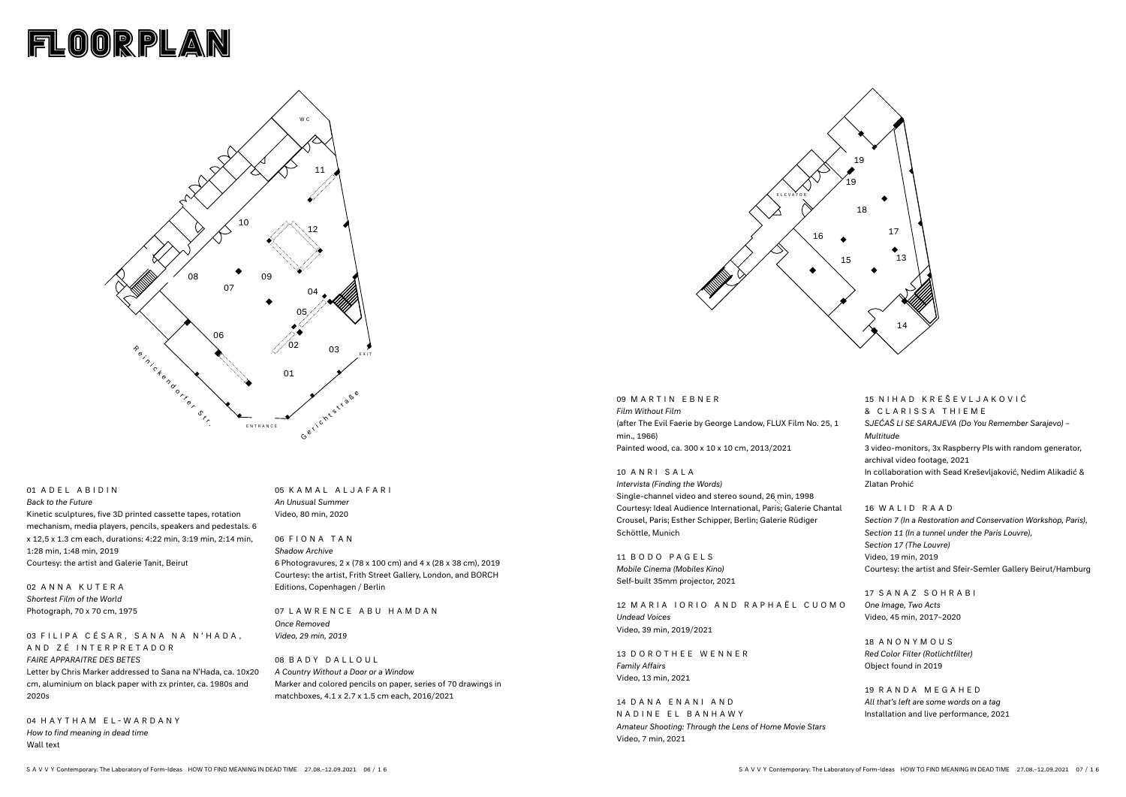# floorplan

## 01 ADEL ABIDIN

#### 03 FILIPA CÉSAR, SANA NA N'HADA, AND ZÉ INTERPRETADOR

*Back to the Future* Kinetic sculptures, five 3D printed cassette tapes, rotation mechanism, media players, pencils, speakers and pedestals. 6 x 12,5 x 1.3 cm each, durations: 4:22 min, 3:19 min, 2:14 min, 1:28 min, 1:48 min, 2019 Courtesy: the artist and Galerie Tanit, Beirut

02 ANNA KUTERA *Shortest Film of the World* Photograph, 70 x 70 cm, 1975

#### *FAIRE APPARAITRE DES BETES*

Letter by Chris Marker addressed to Sana na N'Hada, ca. 10x20 cm, aluminium on black paper with zx printer, ca. 1980s and 2020s

15 N I H A D K R E Š E V L J A K O V I Ć & CLARISSA THIEME *SJEĆAŠ LI SE SARAJEVA (Do You Remember Sarajevo) – Multitude* 3 video-monitors, 3x Raspberry PIs with random generator, archival video footage, 2021 In collaboration with Sead Kreševljaković, Nedim Alikadić & Zlatan Prohić

04 HAYTHAM EL-WARDANY *How to find meaning in dead time*  Wall text

05 KAMAL ALJAFARI *An Unusual Summer* Video, 80 min, 2020

### 06 FIONA TAN *Shadow Archive* 6 Photogravures, 2 x (78 x 100 cm) and 4 x (28 x 38 cm), 2019 Courtesy: the artist, Frith Street Gallery, London, and BORCH Editions, Copenhagen / Berlin

07 LAWRENCE ABU HAMDAN *Once Removed Video, 29 min, 2019*

08 BADY DALLOUL *A Country Without a Door or a Window*  Marker and colored pencils on paper, series of 70 drawings in matchboxes, 4.1 x 2.7 x 1.5 cm each, 2016/2021

14 DANA ENANI AND NADINE EL BANHAWY *Amateur Shooting: Through the Lens of Home Movie Stars* Video, 7 min, 2021

#### 16 WALID RAAD

*Section 7 (In a Restoration and Conservation Workshop, Paris), Section 11 (In a tunnel under the Paris Louvre), Section 17 (The Louvre)* Video, 19 min, 2019 Courtesy: the artist and Sfeir-Semler Gallery Beirut/Hamburg

17 SANAZ SOHRABI *One Image, Two Acts* Video, 45 min, 2017–2020

18 ANONYMOUS *Red Color Filter (Rotlichtfilter)* Object found in 2019

19 RANDA MEGAHED *All that's left are some words on a tag* Installation and live performance, 2021

### 09 MARTIN EBNER *Film Without Film* (after The Evil Faerie by George Landow, FLUX Film No. 25, 1 min., 1966) Painted wood, ca. 300 x 10 x 10 cm, 2013/2021

10 ANRI SALA

*Intervista (Finding the Words)* Single-channel video and stereo sound, 26 min, 1998 Courtesy: Ideal Audience International, Paris; Galerie Chantal Crousel, Paris; Esther Schipper, Berlin; Galerie Rüdiger Schöttle, Munich

11 BODO PAGELS *Mobile Cinema (Mobiles Kino)* Self-built 35mm projector, 2021

12 MARIA IORIO AND RAPHAËL CUOMO *Undead Voices* Video, 39 min, 2019/2021

13 DOROTHEE WENNER *Family Affairs* Video, 13 min, 2021



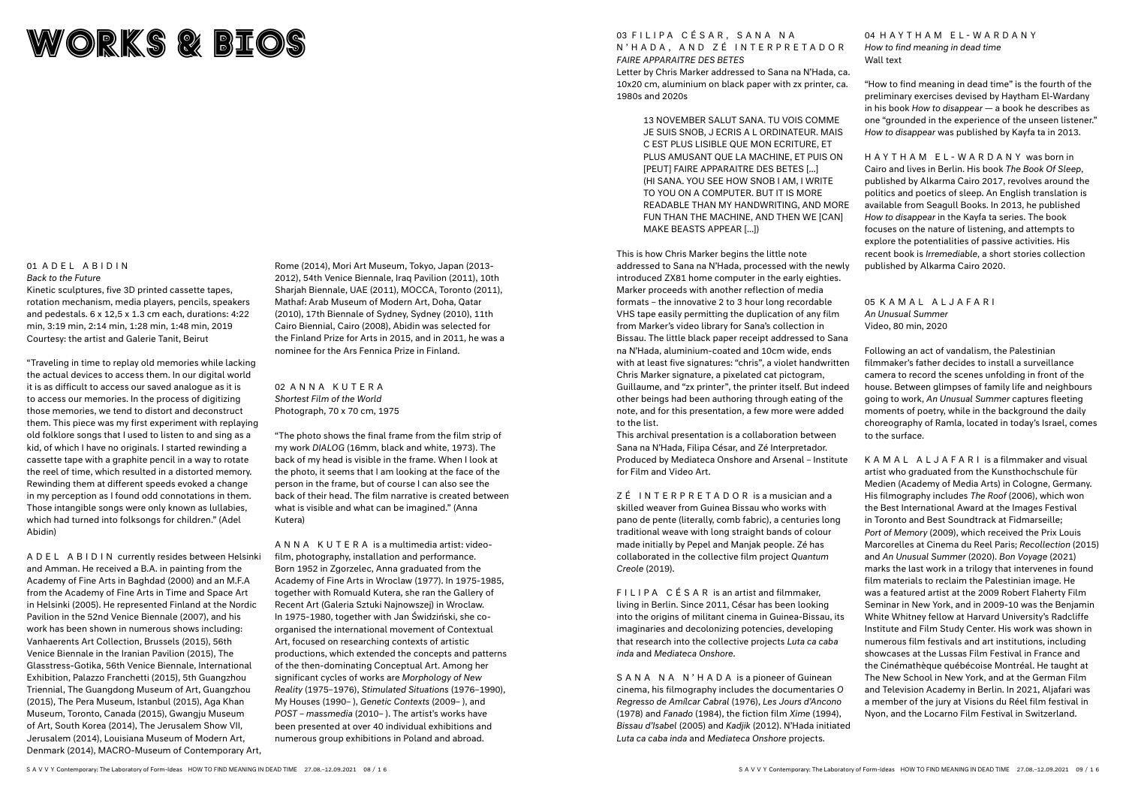# WORKs & BIOS

#### 01 ADEL ABIDIN *Back to the Future*

Kinetic sculptures, five 3D printed cassette tapes, rotation mechanism, media players, pencils, speakers and pedestals. 6 x 12,5 x 1.3 cm each, durations: 4:22 min, 3:19 min, 2:14 min, 1:28 min, 1:48 min, 2019 Courtesy: the artist and Galerie Tanit, Beirut

"Traveling in time to replay old memories while lacking the actual devices to access them. In our digital world it is as difficult to access our saved analogue as it is to access our memories. In the process of digitizing those memories, we tend to distort and deconstruct them. This piece was my first experiment with replaying old folklore songs that I used to listen to and sing as a kid, of which I have no originals. I started rewinding a cassette tape with a graphite pencil in a way to rotate the reel of time, which resulted in a distorted memory. Rewinding them at different speeds evoked a change in my perception as I found odd connotations in them. Those intangible songs were only known as lullabies, which had turned into folksongs for children." (Adel Abidin)

ADEL ABIDIN currently resides between Helsinki and Amman. He received a B.A. in painting from the Academy of Fine Arts in Baghdad (2000) and an M.F.A from the Academy of Fine Arts in Time and Space Art in Helsinki (2005). He represented Finland at the Nordic Pavilion in the 52nd Venice Biennale (2007), and his work has been shown in numerous shows including: Vanhaerents Art Collection, Brussels (2015), 56th Venice Biennale in the Iranian Pavilion (2015), The Glasstress-Gotika, 56th Venice Biennale, International Exhibition, Palazzo Franchetti (2015), 5th Guangzhou Triennial, The Guangdong Museum of Art, Guangzhou (2015), The Pera Museum, Istanbul (2015), Aga Khan Museum, Toronto, Canada (2015), Gwangju Museum of Art, South Korea (2014), The Jerusalem Show VII, Jerusalem (2014), Louisiana Museum of Modern Art, Denmark (2014), MACRO-Museum of Contemporary Art, Rome (2014), Mori Art Museum, Tokyo, Japan (2013- 2012), 54th Venice Biennale, Iraq Pavilion (2011), 10th Shariah Biennale, UAE (2011), MOCCA, Toronto (2011), Mathaf: Arab Museum of Modern Art, Doha, Qatar (2010), 17th Biennale of Sydney, Sydney (2010), 11th Cairo Biennial, Cairo (2008), Abidin was selected for the Finland Prize for Arts in 2015, and in 2011, he was a nominee for the Ars Fennica Prize in Finland.

02 ANNA KUTERA *Shortest Film of the World* Photograph, 70 x 70 cm, 1975

"The photo shows the final frame from the film strip of my work *DIALOG* (16mm, black and white, 1973). The back of my head is visible in the frame. When I look at the photo, it seems that I am looking at the face of the person in the frame, but of course I can also see the back of their head. The film narrative is created between what is visible and what can be imagined." (Anna Kutera)

> SANA NA N'HADA is a pioneer of Guinean cinema, his filmography includes the documentaries *O Regresso de Amílcar Cabral* (1976), *Les Jours d'Ancono* (1978) and *Fanado* (1984), the fiction film *Xime* (1994), *Bissau d'Isabel* (2005) and *Kadjik* (2012). N'Hada initiated *Luta ca caba inda* and *Mediateca Onshore* projects.

ANNA KUTERA is a multimedia artist: videofilm, photography, installation and performance. Born 1952 in Zgorzelec, Anna graduated from the Academy of Fine Arts in Wroclaw (1977). In 1975-1985, together with Romuald Kutera, she ran the Gallery of Recent Art (Galeria Sztuki Najnowszej) in Wroclaw. In 1975-1980, together with Jan Świdziński, she coorganised the international movement of Contextual Art, focused on researching contexts of artistic productions, which extended the concepts and patterns of the then-dominating Conceptual Art. Among her significant cycles of works are *Morphology of New Reality* (1975–1976), *Stimulated Situations* (1976–1990), My Houses (1990– ), *Genetic Contexts* (2009– ), and *POST – massmedia* (2010– ). The artist's works have been presented at over 40 individual exhibitions and numerous group exhibitions in Poland and abroad.

N'HADA, AND ZÉ INTERPRETADOR

*FAIRE APPARAITRE DES BETES*

03 FILIPA CÉSAR, SANA NA

### Letter by Chris Marker addressed to Sana na N'Hada, ca. 10x20 cm, aluminium on black paper with zx printer, ca. 1980s and 2020s

13 NOVEMBER SALUT SANA. TU VOIS COMME JE SUIS SNOB, J ECRIS A L ORDINATEUR. MAIS C EST PLUS LISIBLE QUE MON ECRITURE, ET PLUS AMUSANT QUE LA MACHINE, ET PUIS ON [PEUT] FAIRE APPARAITRE DES BETES […] (HI SANA. YOU SEE HOW SNOB I AM, I WRITE TO YOU ON A COMPUTER. BUT IT IS MORE READABLE THAN MY HANDWRITING, AND MORE FUN THAN THE MACHINE, AND THEN WE [CAN] MAKE BEASTS APPEAR […])

This is how Chris Marker begins the little note addressed to Sana na N'Hada, processed with the newly introduced ZX81 home computer in the early eighties. Marker proceeds with another reflection of media formats – the innovative 2 to 3 hour long recordable VHS tape easily permitting the duplication of any film from Marker's video library for Sana's collection in Bissau. The little black paper receipt addressed to Sana na N'Hada, aluminium-coated and 10cm wide, ends with at least five signatures: "chris", a violet handwritten Chris Marker signature, a pixelated cat pictogram, Guillaume, and "zx printer", the printer itself. But indeed other beings had been authoring through eating of the note, and for this presentation, a few more were added to the list.

This archival presentation is a collaboration between Sana na N'Hada, Filipa César, and Zé Interpretador. Produced by Mediateca Onshore and Arsenal – Institute for Film and Video Art.

ZÉ INTERPRETADOR is a musician and a skilled weaver from Guinea Bissau who works with pano de pente (literally, comb fabric), a centuries long traditional weave with long straight bands of colour made initially by Pepel and Manjak people. Zé has collaborated in the collective film project *Quantum Creole* (2019).

FILIPA CÉSAR is an artist and filmmaker, living in Berlin. Since 2011, César has been looking into the origins of militant cinema in Guinea-Bissau, its imaginaries and decolonizing potencies, developing that research into the collective projects *Luta ca caba inda* and *Mediateca Onshore*.

04 HAYTHAM EL-WARDANY *How to find meaning in dead time* Wall text

"How to find meaning in dead time" is the fourth of the preliminary exercises devised by Haytham El-Wardany in his book *How to disappear* — a book he describes as one "grounded in the experience of the unseen listener." *How to disappear* was published by Kayfa ta in 2013.

HAYTHAM EL-WARDANY was born in Cairo and lives in Berlin. His book *The Book Of Sleep*, published by Alkarma Cairo 2017, revolves around the politics and poetics of sleep. An English translation is available from Seagull Books. In 2013, he published *How to disappear* in the Kayfa ta series. The book focuses on the nature of listening, and attempts to explore the potentialities of passive activities. His recent book is *Irremediable*, a short stories collection published by Alkarma Cairo 2020.

05 KAMAL ALJAFARI *An Unusual Summer* Video, 80 min, 2020

Following an act of vandalism, the Palestinian filmmaker's father decides to install a surveillance camera to record the scenes unfolding in front of the house. Between glimpses of family life and neighbours going to work, *An Unusual Summer* captures fleeting moments of poetry, while in the background the daily choreography of Ramla, located in today's Israel, comes to the surface.

KAMAL ALJAFARI is a filmmaker and visual artist who graduated from the Kunsthochschule für Medien (Academy of Media Arts) in Cologne, Germany. His filmography includes *The Roof* (2006), which won the Best International Award at the Images Festival in Toronto and Best Soundtrack at Fidmarseille; *Port of Memory* (2009), which received the Prix Louis Marcorelles at Cinema du Reel Paris; *Recollection* (2015) and *An Unusual Summer* (2020). *Bon Voyage* (2021) marks the last work in a trilogy that intervenes in found film materials to reclaim the Palestinian image. He was a featured artist at the 2009 Robert Flaherty Film Seminar in New York, and in 2009-10 was the Benjamin White Whitney fellow at Harvard University's Radcliffe Institute and Film Study Center. His work was shown in numerous film festivals and art institutions, including showcases at the Lussas Film Festival in France and the Cinémathèque québécoise Montréal. He taught at The New School in New York, and at the German Film and Television Academy in Berlin. In 2021, Aljafari was a member of the jury at Visions du Réel film festival in Nyon, and the Locarno Film Festival in Switzerland.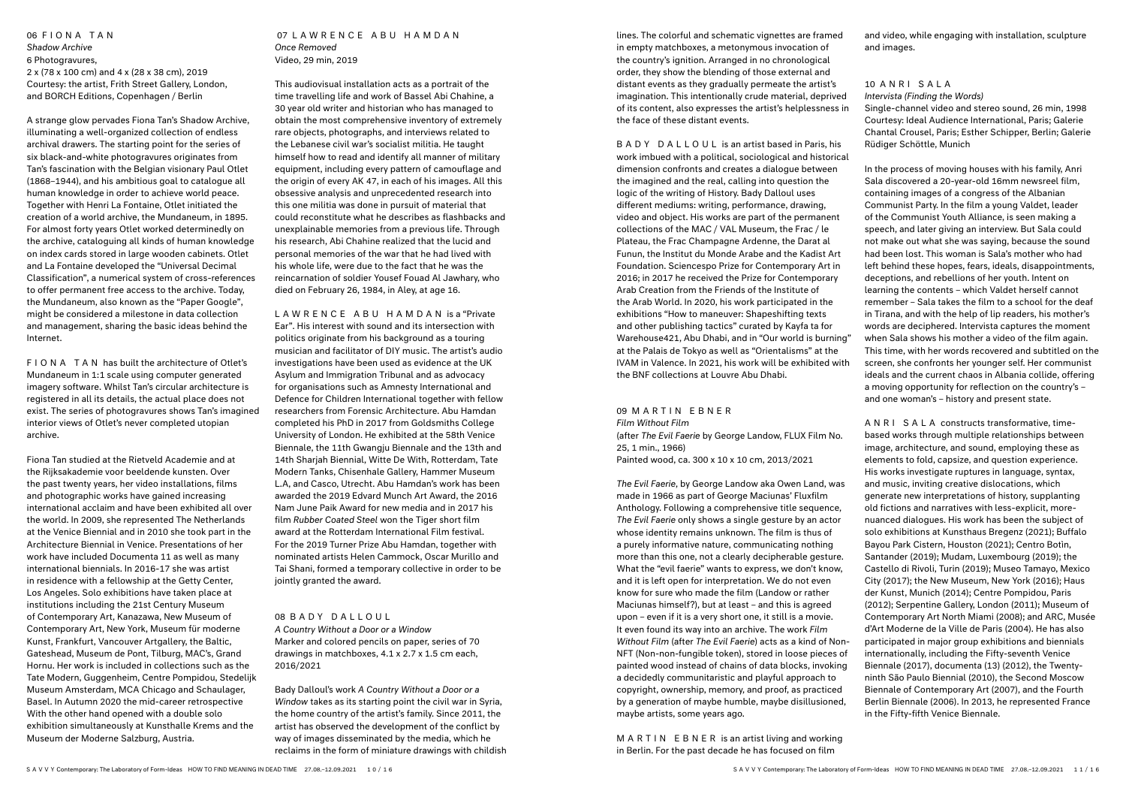06 FIONA TAN *Shadow Archive* 6 Photogravures, 2 x (78 x 100 cm) and 4 x (28 x 38 cm), 2019 Courtesy: the artist, Frith Street Gallery, London, and BORCH Editions, Copenhagen / Berlin

A strange glow pervades Fiona Tan's Shadow Archive, illuminating a well-organized collection of endless archival drawers. The starting point for the series of six black-and-white photogravures originates from Tan's fascination with the Belgian visionary Paul Otlet (1868–1944), and his ambitious goal to catalogue all human knowledge in order to achieve world peace. Together with Henri La Fontaine, Otlet initiated the creation of a world archive, the Mundaneum, in 1895. For almost forty years Otlet worked determinedly on the archive, cataloguing all kinds of human knowledge on index cards stored in large wooden cabinets. Otlet and La Fontaine developed the "Universal Decimal Classification", a numerical system of cross-references to offer permanent free access to the archive. Today, the Mundaneum, also known as the "Paper Google", might be considered a milestone in data collection and management, sharing the basic ideas behind the Internet.

FIONA TAN has built the architecture of Otlet's Mundaneum in 1:1 scale using computer generated imagery software. Whilst Tan's circular architecture is registered in all its details, the actual place does not exist. The series of photogravures shows Tan's imagined interior views of Otlet's never completed utopian archive.

Fiona Tan studied at the Rietveld Academie and at the Rijksakademie voor beeldende kunsten. Over the past twenty years, her video installations, films and photographic works have gained increasing international acclaim and have been exhibited all over the world. In 2009, she represented The Netherlands at the Venice Biennial and in 2010 she took part in the Architecture Biennial in Venice. Presentations of her work have included Documenta 11 as well as many international biennials. In 2016-17 she was artist in residence with a fellowship at the Getty Center, Los Angeles. Solo exhibitions have taken place at institutions including the 21st Century Museum of Contemporary Art, Kanazawa, New Museum of Contemporary Art, New York, Museum für moderne Kunst, Frankfurt, Vancouver Artgallery, the Baltic, Gateshead, Museum de Pont, Tilburg, MAC's, Grand Hornu. Her work is included in collections such as the Tate Modern, Guggenheim, Centre Pompidou, Stedelijk Museum Amsterdam, MCA Chicago and Schaulager, Basel. In Autumn 2020 the mid-career retrospective With the other hand opened with a double solo exhibition simultaneously at Kunsthalle Krems and the Museum der Moderne Salzburg, Austria.

### 07 LAWRENCE ABU HAMDAN *Once Removed* Video, 29 min, 2019

This audiovisual installation acts as a portrait of the time travelling life and work of Bassel Abi Chahine, a 30 year old writer and historian who has managed to obtain the most comprehensive inventory of extremely rare objects, photographs, and interviews related to the Lebanese civil war's socialist militia. He taught himself how to read and identify all manner of military equipment, including every pattern of camouflage and the origin of every AK 47, in each of his images. All this obsessive analysis and unprecedented research into this one militia was done in pursuit of material that could reconstitute what he describes as flashbacks and unexplainable memories from a previous life. Through his research, Abi Chahine realized that the lucid and personal memories of the war that he had lived with his whole life, were due to the fact that he was the reincarnation of soldier Yousef Fouad Al Jawhary, who died on February 26, 1984, in Aley, at age 16.

LAWRENCE ABU HAMDAN is a "Private Ear". His interest with sound and its intersection with politics originate from his background as a touring musician and facilitator of DIY music. The artist's audio investigations have been used as evidence at the UK Asylum and Immigration Tribunal and as advocacy for organisations such as Amnesty International and Defence for Children International together with fellow researchers from Forensic Architecture. Abu Hamdan completed his PhD in 2017 from Goldsmiths College University of London. He exhibited at the 58th Venice Biennale, the 11th Gwangju Biennale and the 13th and 14th Sharjah Biennial, Witte De With, Rotterdam, Tate Modern Tanks, Chisenhale Gallery, Hammer Museum L.A, and Casco, Utrecht. Abu Hamdan's work has been awarded the 2019 Edvard Munch Art Award, the 2016 Nam June Paik Award for new media and in 2017 his film *Rubber Coated Steel* won the Tiger short film award at the Rotterdam International Film festival. For the 2019 Turner Prize Abu Hamdan, together with nominated artists Helen Cammock, Oscar Murillo and Tai Shani, formed a temporary collective in order to be jointly granted the award.

# 08 BADY DALLOUL

*A Country Without a Door or a Window* Marker and colored pencils on paper, series of 70 drawings in matchboxes, 4.1 x 2.7 x 1.5 cm each, 2016/2021

Bady Dalloul's work *A Country Without a Door or a Window* takes as its starting point the civil war in Syria, the home country of the artist's family. Since 2011, the artist has observed the development of the conflict by way of images disseminated by the media, which he reclaims in the form of miniature drawings with childish BADY DALLOUL is an artist based in Paris, his work imbued with a political, sociological and historical dimension confronts and creates a dialogue between the imagined and the real, calling into question the logic of the writing of History. Bady Dalloul uses different mediums: writing, performance, drawing, video and object. His works are part of the permanent collections of the MAC / VAL Museum, the Frac / le Plateau, the Frac Champagne Ardenne, the Darat al Funun, the Institut du Monde Arabe and the Kadist Art Foundation. Sciencespo Prize for Contemporary Art in 2016; in 2017 he received the Prize for Contemporary Arab Creation from the Friends of the Institute of the Arab World. In 2020, his work participated in the exhibitions "How to maneuver: Shapeshifting texts and other publishing tactics" curated by Kayfa ta for Warehouse421, Abu Dhabi, and in "Our world is burning" at the Palais de Tokyo as well as "Orientalisms" at the IVAM in Valence. In 2021, his work will be exhibited with the BNF collections at Louvre Abu Dhabi.

09 MARTIN EBNER *Film Without Film* (after *The Evil Faerie* by George Landow, FLUX Film No. 25, 1 min., 1966) Painted wood, ca. 300 x 10 x 10 cm, 2013/2021

*The Evil Faerie*, by George Landow aka Owen Land, was made in 1966 as part of George Maciunas' Fluxfilm Anthology. Following a comprehensive title sequence, *The Evil Faerie* only shows a single gesture by an actor whose identity remains unknown. The film is thus of a purely informative nature, communicating nothing more than this one, not a clearly decipherable gesture. What the "evil faerie" wants to express, we don't know, and it is left open for interpretation. We do not even know for sure who made the film (Landow or rather Maciunas himself?), but at least – and this is agreed upon – even if it is a very short one, it still is a movie. It even found its way into an archive. The work *Film Without Film* (after *The Evil Faerie*) acts as a kind of Non-NFT (Non-non-fungible token), stored in loose pieces of painted wood instead of chains of data blocks, invoking a decidedly communitaristic and playful approach to copyright, ownership, memory, and proof, as practiced by a generation of maybe humble, maybe disillusioned, maybe artists, some years ago.

MARTIN EBNER is an artist living and working in Berlin. For the past decade he has focused on film

and video, while engaging with installation, sculpture and images.

# 10 ANRI SALA *Intervista (Finding the Words)* Single-channel video and stereo sound, 26 min, 1998

Courtesy: Ideal Audience International, Paris; Galerie Chantal Crousel, Paris; Esther Schipper, Berlin; Galerie Rüdiger Schöttle, Munich

In the process of moving houses with his family, Anri Sala discovered a 20-year-old 16mm newsreel film, containing images of a congress of the Albanian Communist Party. In the film a young Valdet, leader of the Communist Youth Alliance, is seen making a speech, and later giving an interview. But Sala could not make out what she was saying, because the sound had been lost. This woman is Sala's mother who had left behind these hopes, fears, ideals, disappointments, deceptions, and rebellions of her youth. Intent on learning the contents – which Valdet herself cannot remember – Sala takes the film to a school for the deaf in Tirana, and with the help of lip readers, his mother's words are deciphered. Intervista captures the moment when Sala shows his mother a video of the film again. This time, with her words recovered and subtitled on the screen, she confronts her younger self. Her communist ideals and the current chaos in Albania collide, offering a moving opportunity for reflection on the country's – and one woman's – history and present state.

ANRI SALA constructs transformative, timebased works through multiple relationships between image, architecture, and sound, employing these as elements to fold, capsize, and question experience. His works investigate ruptures in language, syntax, and music, inviting creative dislocations, which generate new interpretations of history, supplanting old fictions and narratives with less-explicit, morenuanced dialogues. His work has been the subject of solo exhibitions at Kunsthaus Bregenz (2021); Buffalo Bayou Park Cistern, Houston (2021); Centro Botìn, Santander (2019); Mudam, Luxembourg (2019); the Castello di Rivoli, Turin (2019); Museo Tamayo, Mexico City (2017); the New Museum, New York (2016); Haus der Kunst, Munich (2014); Centre Pompidou, Paris (2012); Serpentine Gallery, London (2011); Museum of Contemporary Art North Miami (2008); and ARC, Musée d'Art Moderne de la Ville de Paris (2004). He has also participated in major group exhibitions and biennials internationally, including the Fifty-seventh Venice Biennale (2017), documenta (13) (2012), the Twentyninth São Paulo Biennial (2010), the Second Moscow Biennale of Contemporary Art (2007), and the Fourth Berlin Biennale (2006). In 2013, he represented France in the Fifty-fifth Venice Biennale.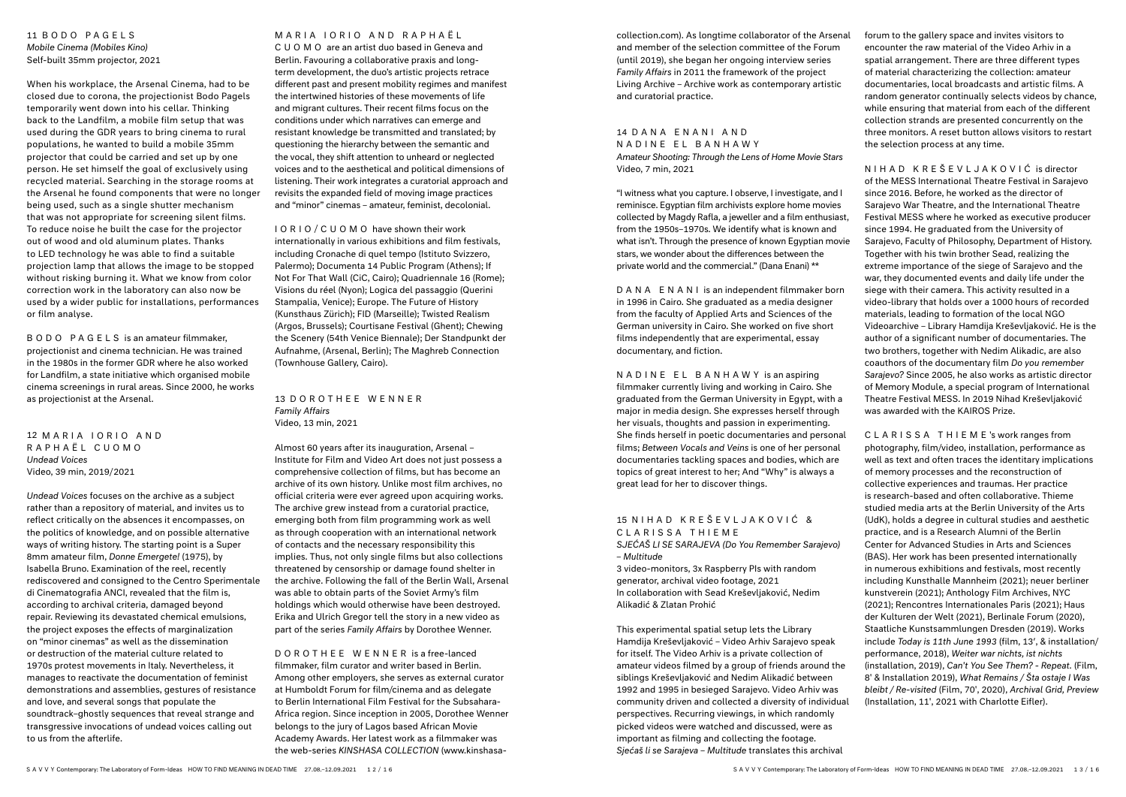## 11 BODO PAGELS *Mobile Cinema (Mobiles Kino)* Self-built 35mm projector, 2021

When his workplace, the Arsenal Cinema, had to be closed due to corona, the projectionist Bodo Pagels temporarily went down into his cellar. Thinking back to the Landfilm, a mobile film setup that was used during the GDR years to bring cinema to rural populations, he wanted to build a mobile 35mm projector that could be carried and set up by one person. He set himself the goal of exclusively using recycled material. Searching in the storage rooms at the Arsenal he found components that were no longer being used, such as a single shutter mechanism that was not appropriate for screening silent films. To reduce noise he built the case for the projector out of wood and old aluminum plates. Thanks to LED technology he was able to find a suitable projection lamp that allows the image to be stopped without risking burning it. What we know from color correction work in the laboratory can also now be used by a wider public for installations, performances or film analyse.

12 MARIA IORIO AND RAPHAËL CUOMO *Undead Voices* Video, 39 min, 2019/2021

BODO PAGELS is an amateur filmmaker, projectionist and cinema technician. He was trained in the 1980s in the former GDR where he also worked for Landfilm, a state initiative which organised mobile cinema screenings in rural areas. Since 2000, he works as projectionist at the Arsenal.

*Undead Voices* focuses on the archive as a subject rather than a repository of material, and invites us to reflect critically on the absences it encompasses, on the politics of knowledge, and on possible alternative ways of writing history. The starting point is a Super 8mm amateur film, *Donne Emergete!* (1975), by Isabella Bruno. Examination of the reel, recently rediscovered and consigned to the Centro Sperimentale di Cinematografia ANCI, revealed that the film is, according to archival criteria, damaged beyond repair. Reviewing its devastated chemical emulsions, the project exposes the effects of marginalization on "minor cinemas" as well as the dissemination or destruction of the material culture related to 1970s protest movements in Italy. Nevertheless, it manages to reactivate the documentation of feminist demonstrations and assemblies, gestures of resistance and love, and several songs that populate the soundtrack–ghostly sequences that reveal strange and transgressive invocations of undead voices calling out to us from the afterlife.

# M A R I A I O R I O A N D R A P H A Ë L

CUOMO are an artist duo based in Geneva and Berlin. Favouring a collaborative praxis and longterm development, the duo's artistic projects retrace different past and present mobility regimes and manifest the intertwined histories of these movements of life and migrant cultures. Their recent films focus on the conditions under which narratives can emerge and resistant knowledge be transmitted and translated; by questioning the hierarchy between the semantic and the vocal, they shift attention to unheard or neglected voices and to the aesthetical and political dimensions of listening. Their work integrates a curatorial approach and revisits the expanded field of moving image practices and "minor" cinemas – amateur, feminist, decolonial.

### 15 N I H A D K R E Š E V L J A K O V I Ć & CLARISSA THIEME *SJEĆAŠ LI SE SARAJEVA (Do You Remember Sarajevo)*

IORIO/CUOMO have shown their work internationally in various exhibitions and film festivals, including Cronache di quel tempo (Istituto Svizzero, Palermo); Documenta 14 Public Program (Athens); If Not For That Wall (CiC, Cairo); Quadriennale 16 (Rome); Visions du réel (Nyon); Logica del passaggio (Querini Stampalia, Venice); Europe. The Future of History (Kunsthaus Zürich); FID (Marseille); Twisted Realism (Argos, Brussels); Courtisane Festival (Ghent); Chewing the Scenery (54th Venice Biennale); Der Standpunkt der Aufnahme, (Arsenal, Berlin); The Maghreb Connection (Townhouse Gallery, Cairo).

13 DOROTHEE WENNER *Family Affairs* Video, 13 min, 2021

Almost 60 years after its inauguration, Arsenal – Institute for Film and Video Art does not just possess a comprehensive collection of films, but has become an archive of its own history. Unlike most film archives, no official criteria were ever agreed upon acquiring works. The archive grew instead from a curatorial practice, emerging both from film programming work as well as through cooperation with an international network of contacts and the necessary responsibility this implies. Thus, not only single films but also collections threatened by censorship or damage found shelter in the archive. Following the fall of the Berlin Wall, Arsenal was able to obtain parts of the Soviet Army's film holdings which would otherwise have been destroyed. Erika and Ulrich Gregor tell the story in a new video as part of the series *Family Affairs* by Dorothee Wenner.

DOROTHEE WENNER is a free-lanced filmmaker, film curator and writer based in Berlin. Among other employers, she serves as external curator at Humboldt Forum for film/cinema and as delegate to Berlin International Film Festival for the Subsahara-Africa region. Since inception in 2005, Dorothee Wenner belongs to the jury of Lagos based African Movie Academy Awards. Her latest work as a filmmaker was the web-series *KINSHASA COLLECTION* (www.kinshasacollection.com). As longtime collaborator of the Arsenal and member of the selection committee of the Forum (until 2019), she began her ongoing interview series *Family Affairs* in 2011 the framework of the project Living Archive – Archive work as contemporary artistic and curatorial practice.

# 14 DANA FNANIAND

NADINE EL BANHAWY *Amateur Shooting: Through the Lens of Home Movie Stars* Video, 7 min, 2021

"I witness what you capture. I observe, I investigate, and I reminisce. Egyptian film archivists explore home movies collected by Magdy Rafla, a jeweller and a film enthusiast, from the 1950s–1970s. We identify what is known and what isn't. Through the presence of known Egyptian movie stars, we wonder about the differences between the private world and the commercial." (Dana Enani) \*\*

DANA ENANI is an independent filmmaker born in 1996 in Cairo. She graduated as a media designer from the faculty of Applied Arts and Sciences of the German university in Cairo. She worked on five short films independently that are experimental, essay documentary, and fiction.

NADINE EL BANHAWY is an aspiring filmmaker currently living and working in Cairo. She graduated from the German University in Egypt, with a major in media design. She expresses herself through her visuals, thoughts and passion in experimenting. She finds herself in poetic documentaries and personal films; *Between Vocals and Veins* is one of her personal documentaries tackling spaces and bodies, which are topics of great interest to her; And "Why" is always a great lead for her to discover things.

*– Multitude* 3 video-monitors, 3x Raspberry PIs with random generator, archival video footage, 2021 In collaboration with Sead Kreševljaković, Nedim Alikadić & Zlatan Prohić

This experimental spatial setup lets the Library Hamdija Kreševljaković – Video Arhiv Sarajevo speak for itself. The Video Arhiv is a private collection of amateur videos filmed by a group of friends around the siblings Kreševljaković and Nedim Alikadić between 1992 and 1995 in besieged Sarajevo. Video Arhiv was community driven and collected a diversity of individual perspectives. Recurring viewings, in which randomly picked videos were watched and discussed, were as important as filming and collecting the footage. *Sjećaš li se Sarajeva – Multitude* translates this archival

forum to the gallery space and invites visitors to encounter the raw material of the Video Arhiv in a spatial arrangement. There are three different types of material characterizing the collection: amateur documentaries, local broadcasts and artistic films. A random generator continually selects videos by chance, while ensuring that material from each of the different collection strands are presented concurrently on the three monitors. A reset button allows visitors to restart the selection process at any time.

NIHAD KREŠEVLJAKOVIĆ is director of the MESS International Theatre Festival in Sarajevo since 2016. Before, he worked as the director of Sarajevo War Theatre, and the International Theatre Festival MESS where he worked as executive producer since 1994. He graduated from the University of Sarajevo, Faculty of Philosophy, Department of History. Together with his twin brother Sead, realizing the extreme importance of the siege of Sarajevo and the war, they documented events and daily life under the siege with their camera. This activity resulted in a video-library that holds over a 1000 hours of recorded materials, leading to formation of the local NGO Videoarchive – Library Hamdija Kreševljaković. He is the author of a significant number of documentaries. The two brothers, together with Nedim Alikadic, are also coauthors of the documentary film *Do you remember Sarajevo?* Since 2005, he also works as artistic director of Memory Module, a special program of International Theatre Festival MESS. In 2019 Nihad Kreševljaković was awarded with the KAIROS Prize.

CLARISSA THIEME 's work ranges from photography, film/video, installation, performance as well as text and often traces the identitary implications of memory processes and the reconstruction of collective experiences and traumas. Her practice is research-based and often collaborative. Thieme studied media arts at the Berlin University of the Arts (UdK), holds a degree in cultural studies and aesthetic practice, and is a Research Alumni of the Berlin Center for Advanced Studies in Arts and Sciences (BAS). Her work has been presented internationally in numerous exhibitions and festivals, most recently including Kunsthalle Mannheim (2021); neuer berliner kunstverein (2021); Anthology Film Archives, NYC (2021); Rencontres Internationales Paris (2021); Haus der Kulturen der Welt (2021), Berlinale Forum (2020), Staatliche Kunstsammlungen Dresden (2019). Works include *Today is 11th June 1993* (film, 13′, & installation/ performance, 2018), *Weiter war nichts, ist nichts* (installation, 2019), *Can't You See Them? - Repeat.* (Film, 8' & Installation 2019), *What Remains / Šta ostaje I Was bleibt / Re-visited* (Film, 70', 2020), *Archival Grid, Preview* (Installation, 11', 2021 with Charlotte Eifler).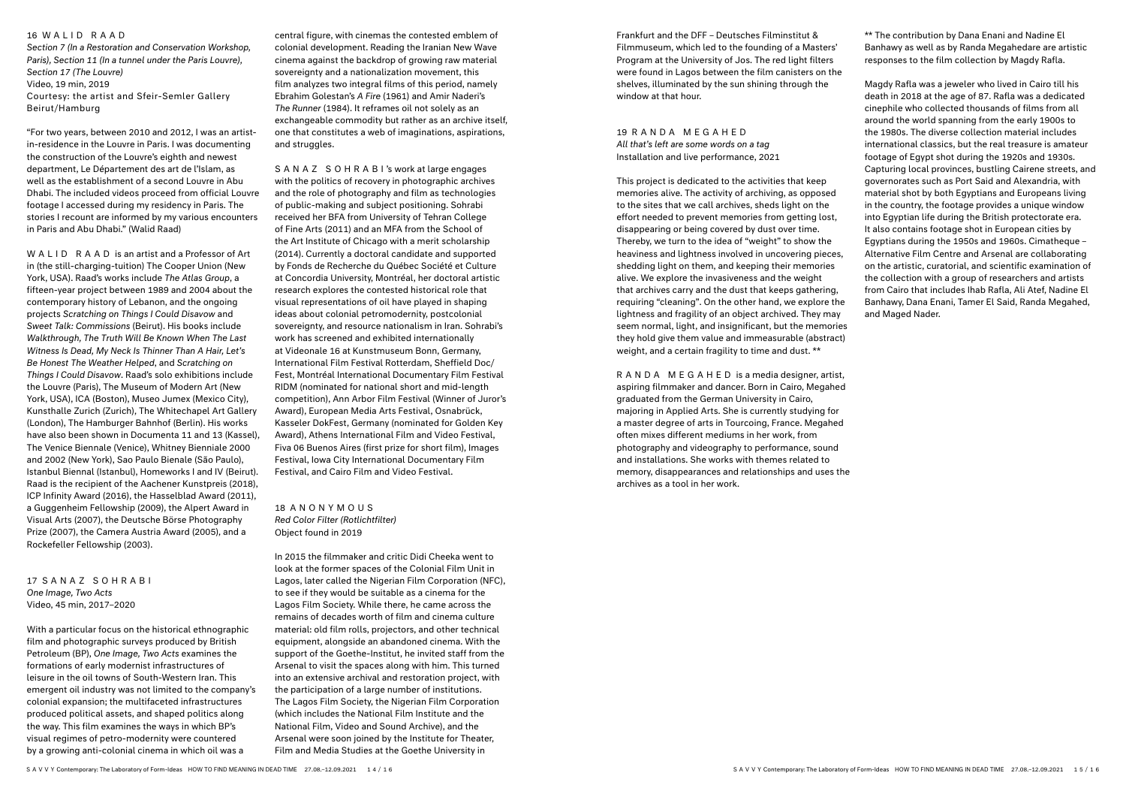#### 16 WALID RAAD

*Section 7 (In a Restoration and Conservation Workshop, Paris), Section 11 (In a tunnel under the Paris Louvre), Section 17 (The Louvre)* Video, 19 min, 2019 Courtesy: the artist and Sfeir-Semler Gallery Beirut/Hamburg

"For two years, between 2010 and 2012, I was an artistin-residence in the Louvre in Paris. I was documenting the construction of the Louvre's eighth and newest department, Le Département des art de l'Islam, as well as the establishment of a second Louvre in Abu Dhabi. The included videos proceed from official Louvre footage I accessed during my residency in Paris. The stories I recount are informed by my various encounters in Paris and Abu Dhabi." (Walid Raad)

central figure, with cinemas the contested emblem of colonial development. Reading the Iranian New Wave cinema against the backdrop of growing raw material sovereignty and a nationalization movement, this film analyzes two integral films of this period, namely Ebrahim Golestan's *A Fire* (1961) and Amir Naderi's *The Runner* (1984). It reframes oil not solely as an exchangeable commodity but rather as an archive itself, one that constitutes a web of imaginations, aspirations, and struggles.

WALID RAAD is an artist and a Professor of Art in (the still-charging-tuition) The Cooper Union (New York, USA). Raad's works include *The Atlas Group*, a fifteen-year project between 1989 and 2004 about the contemporary history of Lebanon, and the ongoing projects *Scratching on Things I Could Disavow* and *Sweet Talk: Commissions* (Beirut). His books include *Walkthrough, The Truth Will Be Known When The Last Witness Is Dead, My Neck Is Thinner Than A Hair, Let's Be Honest The Weather Helped*, and *Scratching on Things I Could Disavow*. Raad's solo exhibitions include the Louvre (Paris), The Museum of Modern Art (New York, USA), ICA (Boston), Museo Jumex (Mexico City), Kunsthalle Zurich (Zurich), The Whitechapel Art Gallery (London), The Hamburger Bahnhof (Berlin). His works have also been shown in Documenta 11 and 13 (Kassel), The Venice Biennale (Venice), Whitney Bienniale 2000 and 2002 (New York), Sao Paulo Bienale (São Paulo), Istanbul Biennal (Istanbul), Homeworks I and IV (Beirut). Raad is the recipient of the Aachener Kunstpreis (2018), ICP Infinity Award (2016), the Hasselblad Award (2011), a Guggenheim Fellowship (2009), the Alpert Award in Visual Arts (2007), the Deutsche Börse Photography Prize (2007), the Camera Austria Award (2005), and a Rockefeller Fellowship (2003).

### 17 SANAZ SOHRABI *One Image, Two Acts* Video, 45 min, 2017–2020

With a particular focus on the historical ethnographic film and photographic surveys produced by British Petroleum (BP), *One Image, Two Acts* examines the formations of early modernist infrastructures of leisure in the oil towns of South-Western Iran. This emergent oil industry was not limited to the company's colonial expansion; the multifaceted infrastructures produced political assets, and shaped politics along the way. This film examines the ways in which BP's visual regimes of petro-modernity were countered by a growing anti-colonial cinema in which oil was a

\*\* The contribution by Dana Enani and Nadine El Banhawy as well as by Randa Megahedare are artistic responses to the film collection by Magdy Rafla.

SANAZ SOHRABI 's work at large engages with the politics of recovery in photographic archives and the role of photography and film as technologies of public-making and subject positioning. Sohrabi received her BFA from University of Tehran College of Fine Arts (2011) and an MFA from the School of the Art Institute of Chicago with a merit scholarship (2014). Currently a doctoral candidate and supported by Fonds de Recherche du Québec Société et Culture at Concordia University, Montréal, her doctoral artistic research explores the contested historical role that visual representations of oil have played in shaping ideas about colonial petromodernity, postcolonial sovereignty, and resource nationalism in Iran. Sohrabi's work has screened and exhibited internationally at Videonale 16 at Kunstmuseum Bonn, Germany, International Film Festival Rotterdam, Sheffield Doc/ Fest, Montréal International Documentary Film Festival RIDM (nominated for national short and mid-length competition), Ann Arbor Film Festival (Winner of Juror's Award), European Media Arts Festival, Osnabrück, Kasseler DokFest, Germany (nominated for Golden Key Award), Athens International Film and Video Festival, Fiva 06 Buenos Aires (first prize for short film), Images Festival, Iowa City International Documentary Film Festival, and Cairo Film and Video Festival.

18 ANONYMOUS *Red Color Filter (Rotlichtfilter)* Object found in 2019

In 2015 the filmmaker and critic Didi Cheeka went to look at the former spaces of the Colonial Film Unit in Lagos, later called the Nigerian Film Corporation (NFC), to see if they would be suitable as a cinema for the Lagos Film Society. While there, he came across the remains of decades worth of film and cinema culture material: old film rolls, projectors, and other technical equipment, alongside an abandoned cinema. With the support of the Goethe-Institut, he invited staff from the Arsenal to visit the spaces along with him. This turned into an extensive archival and restoration project, with the participation of a large number of institutions. The Lagos Film Society, the Nigerian Film Corporation (which includes the National Film Institute and the National Film, Video and Sound Archive), and the Arsenal were soon joined by the Institute for Theater, Film and Media Studies at the Goethe University in

Frankfurt and the DFF – Deutsches Filminstitut & Filmmuseum, which led to the founding of a Masters' Program at the University of Jos. The red light filters were found in Lagos between the film canisters on the shelves, illuminated by the sun shining through the window at that hour.

19 RANDA MEGAHED *All that's left are some words on a tag* Installation and live performance, 2021

This project is dedicated to the activities that keep memories alive. The activity of archiving, as opposed to the sites that we call archives, sheds light on the effort needed to prevent memories from getting lost, disappearing or being covered by dust over time. Thereby, we turn to the idea of "weight" to show the heaviness and lightness involved in uncovering pieces, shedding light on them, and keeping their memories alive. We explore the invasiveness and the weight that archives carry and the dust that keeps gathering, requiring "cleaning". On the other hand, we explore the lightness and fragility of an object archived. They may seem normal, light, and insignificant, but the memories they hold give them value and immeasurable (abstract) weight, and a certain fragility to time and dust. \*\*

RANDA MEGAHED is a media designer, artist, aspiring filmmaker and dancer. Born in Cairo, Megahed graduated from the German University in Cairo, majoring in Applied Arts. She is currently studying for a master degree of arts in Tourcoing, France. Megahed often mixes different mediums in her work, from photography and videography to performance, sound and installations. She works with themes related to memory, disappearances and relationships and uses the archives as a tool in her work.

Magdy Rafla was a jeweler who lived in Cairo till his death in 2018 at the age of 87. Rafla was a dedicated cinephile who collected thousands of films from all around the world spanning from the early 1900s to the 1980s. The diverse collection material includes international classics, but the real treasure is amateur footage of Egypt shot during the 1920s and 1930s. Capturing local provinces, bustling Cairene streets, and governorates such as Port Said and Alexandria, with material shot by both Egyptians and Europeans living in the country, the footage provides a unique window into Egyptian life during the British protectorate era. It also contains footage shot in European cities by Egyptians during the 1950s and 1960s. Cimatheque – Alternative Film Centre and Arsenal are collaborating on the artistic, curatorial, and scientific examination of the collection with a group of researchers and artists from Cairo that includes Ihab Rafla, Ali Atef, Nadine El Banhawy, Dana Enani, Tamer El Said, Randa Megahed, and Maged Nader.